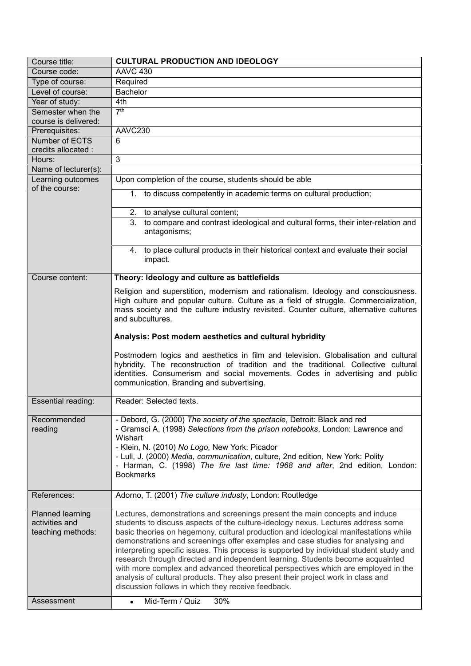| Course title:                         | <b>CULTURAL PRODUCTION AND IDEOLOGY</b>                                                                                                                                                                                                                                                                  |
|---------------------------------------|----------------------------------------------------------------------------------------------------------------------------------------------------------------------------------------------------------------------------------------------------------------------------------------------------------|
| Course code:                          | <b>AAVC 430</b>                                                                                                                                                                                                                                                                                          |
| Type of course:                       | Required                                                                                                                                                                                                                                                                                                 |
| Level of course:                      | <b>Bachelor</b>                                                                                                                                                                                                                                                                                          |
| Year of study:                        | 4th                                                                                                                                                                                                                                                                                                      |
| Semester when the                     | 7 <sup>th</sup>                                                                                                                                                                                                                                                                                          |
| course is delivered:                  |                                                                                                                                                                                                                                                                                                          |
| Prerequisites:                        | AAVC230                                                                                                                                                                                                                                                                                                  |
| Number of ECTS<br>credits allocated : | 6                                                                                                                                                                                                                                                                                                        |
| Hours:                                | 3                                                                                                                                                                                                                                                                                                        |
| Name of lecturer(s):                  |                                                                                                                                                                                                                                                                                                          |
| Learning outcomes                     | Upon completion of the course, students should be able                                                                                                                                                                                                                                                   |
| of the course:                        |                                                                                                                                                                                                                                                                                                          |
|                                       | 1. to discuss competently in academic terms on cultural production;                                                                                                                                                                                                                                      |
|                                       | 2.<br>to analyse cultural content;                                                                                                                                                                                                                                                                       |
|                                       | to compare and contrast ideological and cultural forms, their inter-relation and<br>3.<br>antagonisms;                                                                                                                                                                                                   |
|                                       |                                                                                                                                                                                                                                                                                                          |
|                                       | 4. to place cultural products in their historical context and evaluate their social<br>impact.                                                                                                                                                                                                           |
|                                       |                                                                                                                                                                                                                                                                                                          |
| Course content:                       | Theory: Ideology and culture as battlefields                                                                                                                                                                                                                                                             |
|                                       | Religion and superstition, modernism and rationalism. Ideology and consciousness.                                                                                                                                                                                                                        |
|                                       | High culture and popular culture. Culture as a field of struggle. Commercialization,                                                                                                                                                                                                                     |
|                                       | mass society and the culture industry revisited. Counter culture, alternative cultures                                                                                                                                                                                                                   |
|                                       | and subcultures.                                                                                                                                                                                                                                                                                         |
|                                       | Analysis: Post modern aesthetics and cultural hybridity                                                                                                                                                                                                                                                  |
|                                       | Postmodern logics and aesthetics in film and television. Globalisation and cultural<br>hybridity. The reconstruction of tradition and the traditional. Collective cultural<br>identities. Consumerism and social movements. Codes in advertising and public<br>communication. Branding and subvertising. |
| Essential reading:                    | Reader: Selected texts.                                                                                                                                                                                                                                                                                  |
| Recommended                           | - Debord, G. (2000) The society of the spectacle, Detroit: Black and red                                                                                                                                                                                                                                 |
| reading                               | - Gramsci A, (1998) Selections from the prison notebooks, London: Lawrence and                                                                                                                                                                                                                           |
|                                       | Wishart                                                                                                                                                                                                                                                                                                  |
|                                       | - Klein, N. (2010) No Logo, New York: Picador                                                                                                                                                                                                                                                            |
|                                       | - Lull, J. (2000) Media, communication, culture, 2nd edition, New York: Polity<br>- Harman, C. (1998) The fire last time: 1968 and after, 2nd edition, London:                                                                                                                                           |
|                                       |                                                                                                                                                                                                                                                                                                          |
|                                       |                                                                                                                                                                                                                                                                                                          |
|                                       | <b>Bookmarks</b>                                                                                                                                                                                                                                                                                         |
| References:                           | Adorno, T. (2001) The culture industy, London: Routledge                                                                                                                                                                                                                                                 |
|                                       |                                                                                                                                                                                                                                                                                                          |
| Planned learning                      | Lectures, demonstrations and screenings present the main concepts and induce                                                                                                                                                                                                                             |
| activities and<br>teaching methods:   | students to discuss aspects of the culture-ideology nexus. Lectures address some                                                                                                                                                                                                                         |
|                                       | basic theories on hegemony, cultural production and ideological manifestations while<br>demonstrations and screenings offer examples and case studies for analysing and                                                                                                                                  |
|                                       | interpreting specific issues. This process is supported by individual student study and                                                                                                                                                                                                                  |
|                                       | research through directed and independent learning. Students become acquainted                                                                                                                                                                                                                           |
|                                       | with more complex and advanced theoretical perspectives which are employed in the                                                                                                                                                                                                                        |
|                                       | analysis of cultural products. They also present their project work in class and                                                                                                                                                                                                                         |
| Assessment                            | discussion follows in which they receive feedback.<br>Mid-Term / Quiz<br>30%                                                                                                                                                                                                                             |